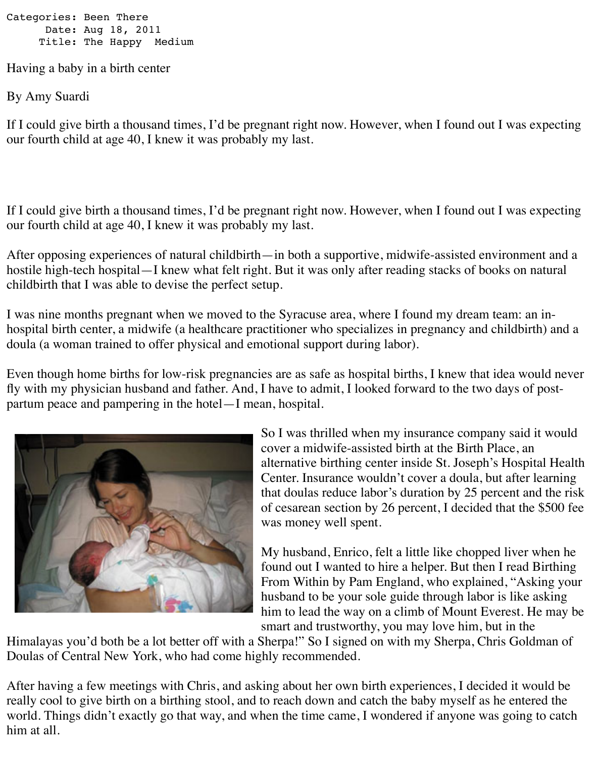Categories: Been There Date: Aug 18, 2011 Title: The Happy Medium

Having a baby in a birth center

By Amy Suardi

If I could give birth a thousand times, I'd be pregnant right now. However, when I found out I was expecting our fourth child at age 40, I knew it was probably my last.

If I could give birth a thousand times, I'd be pregnant right now. However, when I found out I was expecting our fourth child at age 40, I knew it was probably my last.

After opposing experiences of natural childbirth—in both a supportive, midwife-assisted environment and a hostile high-tech hospital—I knew what felt right. But it was only after reading stacks of books on natural childbirth that I was able to devise the perfect setup.

I was nine months pregnant when we moved to the Syracuse area, where I found my dream team: an inhospital birth center, a midwife (a healthcare practitioner who specializes in pregnancy and childbirth) and a doula (a woman trained to offer physical and emotional support during labor).

Even though home births for low-risk pregnancies are as safe as hospital births, I knew that idea would never fly with my physician husband and father. And, I have to admit, I looked forward to the two days of postpartum peace and pampering in the hotel—I mean, hospital.



So I was thrilled when my insurance company said it would cover a midwife-assisted birth at the Birth Place, an alternative birthing center inside St. Joseph's Hospital Health Center. Insurance wouldn't cover a doula, but after learning that doulas reduce labor's duration by 25 percent and the risk of cesarean section by 26 percent, I decided that the \$500 fee was money well spent.

My husband, Enrico, felt a little like chopped liver when he found out I wanted to hire a helper. But then I read Birthing From Within by Pam England, who explained, "Asking your husband to be your sole guide through labor is like asking him to lead the way on a climb of Mount Everest. He may be smart and trustworthy, you may love him, but in the

Himalayas you'd both be a lot better off with a Sherpa!" So I signed on with my Sherpa, Chris Goldman of Doulas of Central New York, who had come highly recommended.

After having a few meetings with Chris, and asking about her own birth experiences, I decided it would be really cool to give birth on a birthing stool, and to reach down and catch the baby myself as he entered the world. Things didn't exactly go that way, and when the time came, I wondered if anyone was going to catch him at all.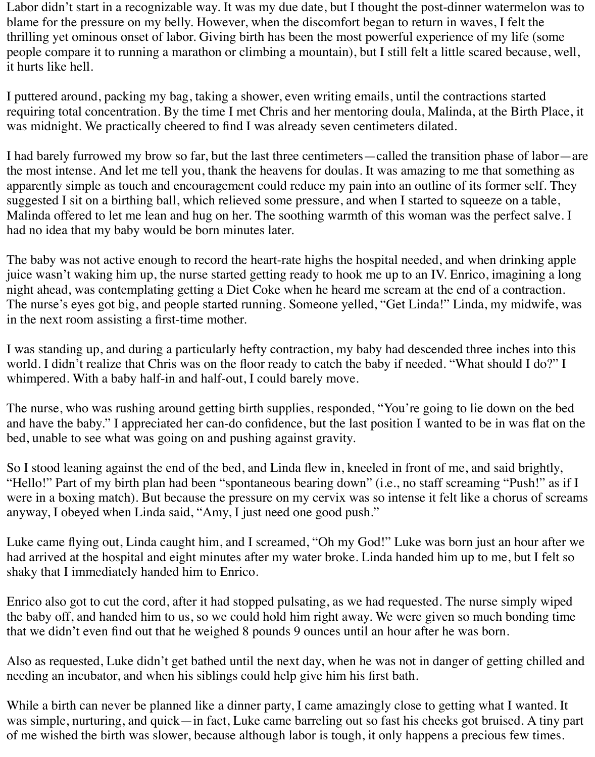Labor didn't start in a recognizable way. It was my due date, but I thought the post-dinner watermelon was to blame for the pressure on my belly. However, when the discomfort began to return in waves, I felt the thrilling yet ominous onset of labor. Giving birth has been the most powerful experience of my life (some people compare it to running a marathon or climbing a mountain), but I still felt a little scared because, well, it hurts like hell.

I puttered around, packing my bag, taking a shower, even writing emails, until the contractions started requiring total concentration. By the time I met Chris and her mentoring doula, Malinda, at the Birth Place, it was midnight. We practically cheered to find I was already seven centimeters dilated.

I had barely furrowed my brow so far, but the last three centimeters—called the transition phase of labor—are the most intense. And let me tell you, thank the heavens for doulas. It was amazing to me that something as apparently simple as touch and encouragement could reduce my pain into an outline of its former self. They suggested I sit on a birthing ball, which relieved some pressure, and when I started to squeeze on a table, Malinda offered to let me lean and hug on her. The soothing warmth of this woman was the perfect salve. I had no idea that my baby would be born minutes later.

The baby was not active enough to record the heart-rate highs the hospital needed, and when drinking apple juice wasn't waking him up, the nurse started getting ready to hook me up to an IV. Enrico, imagining a long night ahead, was contemplating getting a Diet Coke when he heard me scream at the end of a contraction. The nurse's eyes got big, and people started running. Someone yelled, "Get Linda!" Linda, my midwife, was in the next room assisting a first-time mother.

I was standing up, and during a particularly hefty contraction, my baby had descended three inches into this world. I didn't realize that Chris was on the floor ready to catch the baby if needed. "What should I do?" I whimpered. With a baby half-in and half-out, I could barely move.

The nurse, who was rushing around getting birth supplies, responded, "You're going to lie down on the bed and have the baby." I appreciated her can-do confidence, but the last position I wanted to be in was flat on the bed, unable to see what was going on and pushing against gravity.

So I stood leaning against the end of the bed, and Linda flew in, kneeled in front of me, and said brightly, "Hello!" Part of my birth plan had been "spontaneous bearing down" (i.e., no staff screaming "Push!" as if I were in a boxing match). But because the pressure on my cervix was so intense it felt like a chorus of screams anyway, I obeyed when Linda said, "Amy, I just need one good push."

Luke came flying out, Linda caught him, and I screamed, "Oh my God!" Luke was born just an hour after we had arrived at the hospital and eight minutes after my water broke. Linda handed him up to me, but I felt so shaky that I immediately handed him to Enrico.

Enrico also got to cut the cord, after it had stopped pulsating, as we had requested. The nurse simply wiped the baby off, and handed him to us, so we could hold him right away. We were given so much bonding time that we didn't even find out that he weighed 8 pounds 9 ounces until an hour after he was born.

Also as requested, Luke didn't get bathed until the next day, when he was not in danger of getting chilled and needing an incubator, and when his siblings could help give him his first bath.

While a birth can never be planned like a dinner party, I came amazingly close to getting what I wanted. It was simple, nurturing, and quick—in fact, Luke came barreling out so fast his cheeks got bruised. A tiny part of me wished the birth was slower, because although labor is tough, it only happens a precious few times.